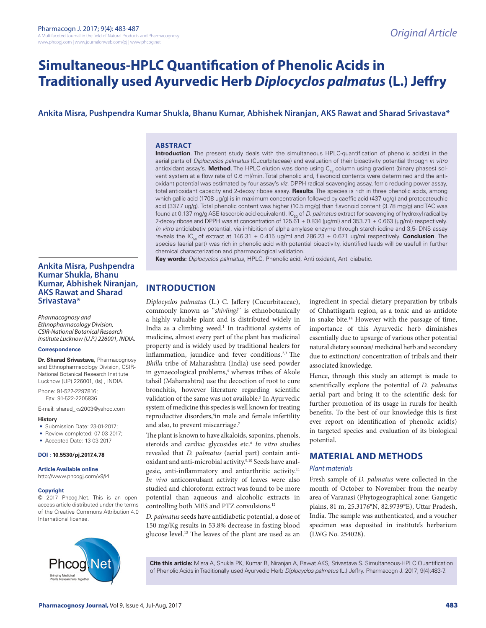# **Simultaneous-HPLC Quantification of Phenolic Acids in Traditionally used Ayurvedic Herb** *Diplocyclos palmatus* **(L.) Jeffry**

# **Ankita Misra, Pushpendra Kumar Shukla, Bhanu Kumar, Abhishek Niranjan, AKS Rawat and Sharad Srivastava\***

#### **ABSTRACT**

**Introduction**. The present study deals with the simultaneous HPLC-quantification of phenolic acid(s) in the aerial parts of *Diplocyclos palmatus* (Cucurbitaceae) and evaluation of their bioactivity potential through *in vitro*  antioxidant assay's. Method. The HPLC elution was done using C<sub>18</sub> column using gradient (binary phases) solvent system at a flow rate of 0.6 ml/min. Total phenolic and, flavonoid contents were determined and the antioxidant potential was estimated by four assay's *viz.* DPPH radical scavenging assay, ferric reducing power assay, total antioxidant capacity and 2-deoxy ribose assay. **Results**. The species is rich in three phenolic acids, among which gallic acid (1708 ug/g) is in maximum concentration followed by caeffic acid (437 ug/g) and protocateuchic acid (337.7 ug/g). Total phenolic content was higher (10.5 mg/g) than flavonoid content (3.78 mg/g) and TAC was found at 0.137 mg/g ASE (ascorbic acid equivalent). IC<sub>50</sub> of *D. palmatus* extract for scavenging of hydroxyl radical by 2-deoxy ribose and DPPH was at concentration of  $125.61 \pm 0.834$  (µg/ml) and 353.71  $\pm$  0.663 (µg/ml) respectively. *In vitro* antidiabetiv potential, via inhibition of alpha amylase enzyme through starch iodine and 3,5- DNS assay reveals the IC<sub>50</sub> of extract at 146.31  $\pm$  0.415 ug/ml and 286.23  $\pm$  0.671 ug/ml respectively. **Conclusion**. The species (aerial part) was rich in phenolic acid with potential bioactivity, identified leads will be usefull in further chemical characterization and pharmacological validation.

**Key words:** *Diplocyclos palmatus,* HPLC, Phenolic acid, Anti oxidant, Anti diabetic.

# **Ankita Misra, Pushpendra Kumar Shukla, Bhanu Kumar, Abhishek Niranjan, AKS Rawat and Sharad Srivastava\***

*Pharmacognosy and Ethnopharmacology Division, CSIR-National Botanical Research Institute Lucknow (U.P.) 226001, INDIA.*

#### **Correspondence**

**Dr. Sharad Srivastava**, Pharmacognosy and Ethnopharmacology Division, CSIR-National Botanical Research Institute Lucknow (UP) 226001, (Is) , INDIA.

Phone: 91-522-2297816; Fax: 91-522-2205836

E-mail: sharad\_ks2003@yahoo.com

#### **History**

- Submission Date: 23-01-2017;
- Review completed: 07-03-2017;
- Accepted Date: 13-03-2017

**DOI : 10.5530/pj.2017.4.78**

#### **Article Available online**

http://www.phcogj.com/v9/i4

#### **Copyright**

© 2017 Phcog.Net. This is an openaccess article distributed under the terms of the Creative Commons Attribution 4.0 International license.



*Diplocyclos palmatus* (L.) C. Jaffery (Cucurbitaceae), commonly known as "*shivlingi*" is ethnobotanically a highly valuable plant and is distributed widely in India as a climbing weed. $<sup>1</sup>$  In traditional systems of</sup> medicine, almost every part of the plant has medicinal property and is widely used by traditional healers for inflammation, jaundice and fever conditions.<sup>2,3</sup> The *Bhilla* tribe of Maharashtra (India) use seed powder in gynaecological problems,<sup>4</sup> whereas tribes of Akole tahsil (Maharashtra) use the decoction of root to cure bronchitis, however literature regarding scientific validation of the same was not available.<sup>5</sup> In Ayurvedic system of medicine this species is well known for treating reproductive disorders,<sup>6</sup>in male and female infertility and also, to prevent miscarriage.7

The plant is known to have alkaloids, saponins, phenols, steroids and cardiac glycosides etc.8 *In vitro* studies revealed that *D. palmatus* (aerial part) contain antioxidant and anti-microbial activity.<sup>9,10</sup> Seeds have analgesic, anti-inflammatory and antiarthritic activity.<sup>11</sup> *In vivo* anticonvulsant activity of leaves were also studied and chloroform extract was found to be more potential than aqueous and alcoholic extracts in controlling both MES and PTZ convulsions.12

*D. palmatus* seeds have antidiabetic potential, a dose of 150 mg/Kg results in 53.8% decrease in fasting blood glucose level.13 The leaves of the plant are used as an

ingredient in special dietary preparation by tribals of Chhattisgarh region, as a tonic and as antidote in snake bite.<sup>14</sup> However with the passage of time, importance of this Ayurvedic herb diminishes essentially due to upsurge of various other potential natural dietary sources/ medicinal herb and secondary due to extinction/ concentration of tribals and their associated knowledge.

Hence, through this study an attempt is made to scientifically explore the potential of *D. palmatus*  aerial part and bring it to the scientific desk for further promotion of its usage in rurals for health benefits. To the best of our knowledge this is first ever report on identification of phenolic acid(s) in targeted species and evaluation of its biological potential.

# **MATERIAL AND METHODS**

#### *Plant materials*

Fresh sample of *D. palmatus* were collected in the month of October to November from the nearby area of Varanasi (Phytogeographical zone: Gangetic plains, 81 m, 25.3176°N, 82.9739°E), Uttar Pradesh, India. The sample was authenticated, and a voucher specimen was deposited in institute's herbarium (LWG No. 254028).



**Cite this article:** Misra A, Shukla PK, Kumar B, Niranjan A, Rawat AKS, Srivastava S. Simultaneous-HPLC Quantification of Phenolic Acids in Traditionally used Ayurvedic Herb *Diplocyclos palmatus* (L.) Jeffry. Pharmacogn J. 2017; 9(4):483-7.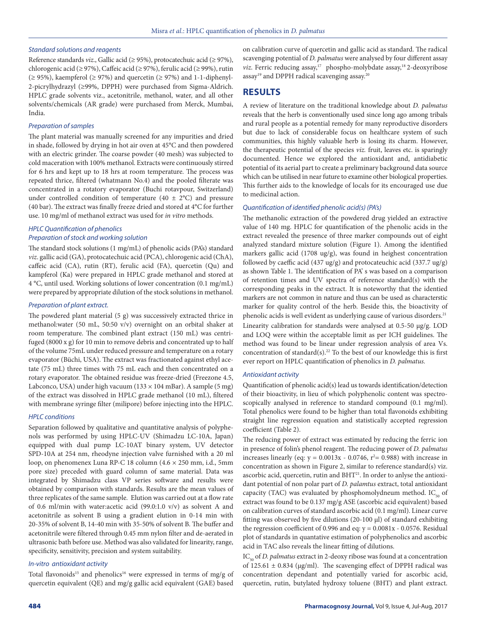#### *Standard solutions and reagents*

Reference standards *viz*., Gallic acid (≥ 95%), protocatechuic acid (≥ 97%), chlorogenic acid (≥ 97%), Caffeic acid (≥ 97%), ferulic acid (≥ 99%), rutin  $(\geq 95\%)$ , kaempferol  $(\geq 97\%)$  and quercetin  $(\geq 97\%)$  and 1-1-diphenyl-2-picrylhydrazyl (≥99%, DPPH) were purchased from Sigma-Aldrich. HPLC grade solvents viz., acetonitrile, methanol, water, and all other solvents/chemicals (AR grade) were purchased from Merck, Mumbai, India.

### *Preparation of samples*

The plant material was manually screened for any impurities and dried in shade, followed by drying in hot air oven at 45°C and then powdered with an electric grinder. The coarse powder (40 mesh) was subjected to cold maceration with 100% methanol. Extracts were continuously stirred for 6 hrs and kept up to 18 hrs at room temperature. The process was repeated thrice, filtered (whatmann No.4) and the pooled filterate was concentrated in a rotatory evaporator (Buchi rotavpour, Switzerland) under controlled condition of temperature (40  $\pm$  2°C) and pressure (40 bar). The extract was finally freeze dried and stored at 4°C for further use. 10 mg/ml of methanol extract was used for *in vitro* methods.

# *HPLC Quantification of phenolics Preparation of stock and working solution*

The standard stock solutions (1 mg/mL) of phenolic acids (PA's) standard *viz*. gallic acid (GA), protocatechuic acid (PCA), chlorogenic acid (ChA), caffeic acid (CA), rutin (RT), ferulic acid (FA), quercetin (Qu) and kampferol (Ka) were prepared in HPLC grade methanol and stored at 4 °C, until used. Working solutions of lower concentration (0.1 mg/mL) were prepared by appropriate dilution of the stock solutions in methanol.

#### *Preparation of plant extract.*

The powdered plant material  $(5 g)$  was successively extracted thrice in methanol:water (50 mL, 50:50 v/v) overnight on an orbital shaker at room temperature. The combined plant extract (150 mL) was centrifuged (8000 x g) for 10 min to remove debris and concentrated up to half of the volume 75mL under reduced pressure and temperature on a rotary evaporator (Büchi, USA). The extract was fractionated against ethyl acetate (75 mL) three times with 75 mL each and then concentrated on a rotary evaporator. The obtained residue was freeze-dried (Freezone 4.5, Labconco, USA) under high vacuum ( $133 \times 104$  mBar). A sample ( $5$  mg) of the extract was dissolved in HPLC grade methanol (10 mL), filtered with membrane syringe filter (milipore) before injecting into the HPLC.

#### *HPLC conditions*

Separation followed by qualitative and quantitative analysis of polyphenols was performed by using HPLC-UV (Shimadzu LC-10A, Japan) equipped with dual pump LC-10AT binary system, UV detector SPD-10A at 254 nm, rheodyne injection valve furnished with a 20 ml loop, on phenomenex Luna RP-C 18 column (4.6 × 250 mm, i.d., 5mm pore size) preceded with guard column of same material. Data was integrated by Shimadzu class VP series software and results were obtained by comparison with standards. Results are the mean values of three replicates of the same sample. Elution was carried out at a flow rate of 0.6 ml/min with water:acetic acid (99.0:1.0 v/v) as solvent A and acetonitrile as solvent B using a gradient elution in 0-14 min with 20-35% of solvent B, 14-40 min with 35-50% of solvent B. The buffer and acetonitrile were filtered through 0.45 mm nylon filter and de-aerated in ultrasonic bath before use. Method was also validated for linearity, range, specificity, sensitivity, precision and system suitability.

#### *In-vitro antioxidant activity*

Total flavonoids<sup>15</sup> and phenolics<sup>16</sup> were expressed in terms of mg/g of quercetin equivalent (QE) and mg/g gallic acid equivalent (GAE) based on calibration curve of quercetin and gallic acid as standard. The radical scavenging potential of *D. palmatus* were analysed by four different assay viz. Ferric reducing assay,<sup>17</sup> phospho-molybdate assay,<sup>18</sup> 2-deoxyribose assay<sup>19</sup> and DPPH radical scavenging assay.<sup>20</sup>

# **RESULTS**

A review of literature on the traditional knowledge about *D. palmatus* reveals that the herb is conventionally used since long ago among tribals and rural people as a potential remedy for many reproductive disorders but due to lack of considerable focus on healthcare system of such communities, this highly valuable herb is losing its charm. However, the therapeutic potential of the species *viz.* fruit, leaves etc. is sparingly documented. Hence we explored the antioxidant and, antidiabetic potential of its aerial part to create a preliminary background data source which can be utilised in near future to examine other biological properties. This further aids to the knowledge of locals for its encouraged use due to medicinal action.

#### *Quantification of identified phenolic acid(s) (PA's)*

The methanolic extraction of the powdered drug yielded an extractive value of 140 mg. HPLC for quantification of the phenolic acids in the extract revealed the presence of three marker compounds out of eight analyzed standard mixture solution (Figure 1). Among the identified markers gallic acid (1708 ug/g), was found in heighest concentration followed by caeffic acid (437 ug/g) and protocateuchic acid (337.7 ug/g) as shown Table 1. The identification of PA' s was based on a comparison of retention times and UV spectra of reference standard(s) with the corresponding peaks in the extract. It is noteworthy that the identied markers are not common in nature and thus can be used as characterstic marker for quality control of the herb. Beside this, the bioactivity of phenolic acids is well evident as underlying cause of various disorders.<sup>21</sup>

Linearity calibration for standards were analysed at 0.5-50 µg/g. LOD and LOQ were within the acceptable limit as per ICH guidelines. The method was found to be linear under regression analysis of area Vs. concentration of standard(s).<sup>22</sup> To the best of our knowledge this is first ever report on HPLC quantification of phenolics in *D. palmatus.*

#### *Antioxidant activity*

Quantification of phenolic acid(s) lead us towards identification/detection of their bioactivity, in lieu of which polyphenolic content was spectroscopically analysed in reference to standard compound (0.1 mg/ml). Total phenolics were found to be higher than total flavonoids exhibiting straight line regression equation and statistically accepted regression coefficient (Table 2).

The reducing power of extract was estimated by reducing the ferric ion in presence of folin's phenol reagent. The reducing power of *D. palmatus* increases linearly (eq:  $y = 0.0013x - 0.0746$ ,  $r^2 = 0.988$ ) with increase in concentration as shown in Figure 2, similar to reference standard(s) viz. ascorbic acid, quercetin, rutin and BHT<sup>21</sup>. In order to anlyse the antioxidant potential of non polar part of *D. palamtus* extract, total antioxidant capacity (TAC) was evaluated by phosphomolydneum method. IC $_{50}$  of extract was found to be 0.137 mg/g ASE (ascorbic acid equivalent) based on calibration curves of standard ascorbic acid (0.1 mg/ml). Linear curve fitting was observed by five dilutions (20-100 µl) of standard exhibiting the regression coefficient of 0.996 and eq:  $y = 0.0081x - 0.0576$ . Residual plot of standards in quantative estimation of polyphenolics and ascorbic acid in TAC also reveals the linear fitting of dilutions.

IC<sub>50</sub> of *D. palmatus* extract in 2-deoxy ribose was found at a concentration of 125.61  $\pm$  0.834 (µg/ml). The scavenging effect of DPPH radical was concentration dependant and potentially varied for ascorbic acid, quercetin, rutin, butylated hydroxy toluene (BHT) and plant extract.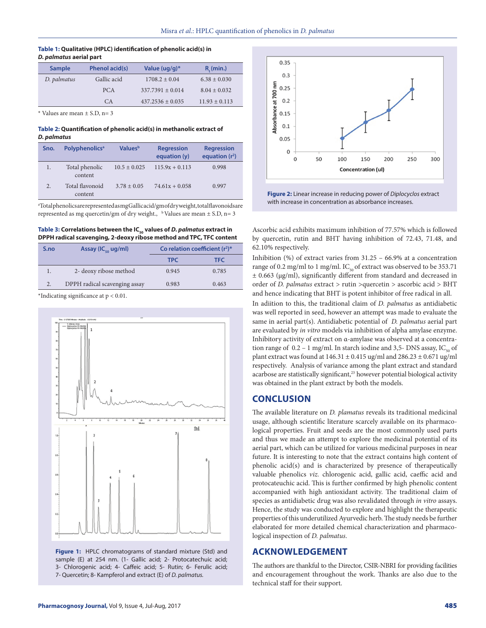#### **Table 1: Qualitative (HPLC) identification of phenolic acid(s) in**  *D. palmatus* **aerial part**

| <b>Sample</b> | Phenol acid(s) | Value $(uq/q)^*$     | $R_{i}$ (min.)    |
|---------------|----------------|----------------------|-------------------|
| D. palmatus   | Gallic acid    | $1708.2 \pm 0.04$    | $6.38 \pm 0.030$  |
|               | <b>PCA</b>     | $337.7391 + 0.014$   | $8.04 \pm 0.032$  |
|               | C <sub>A</sub> | $437.2536 \pm 0.035$ | $11.93 \pm 0.113$ |

\* Values are mean ± S.D, n= 3

**Table 2: Quantification of phenolic acid(s) in methanolic extract of**  *D. palmatus*

| Sno. | <b>Polyphenolics</b> <sup>a</sup> | <b>Values</b> <sup>b</sup> | <b>Regression</b><br>equation (y) | <b>Regression</b><br>equation $(r^2)$ |
|------|-----------------------------------|----------------------------|-----------------------------------|---------------------------------------|
| 1.   | Total phenolic<br>content         | $10.5 \pm 0.025$           | $115.9x + 0.113$                  | 0.998                                 |
| 2.   | Total flavonoid<br>content        | $3.78 \pm 0.05$            | $74.61x + 0.058$                  | 0.997                                 |

a Total phenolics are represented as mg Gallic acid/gm of dry weight, total flavonoids are represented as mg quercetin/gm of dry weight.,  $\,^{\text{b}}$  Values are mean  $\pm$  S.D, n= 3

Table 3: Correlations between the IC<sub>50</sub> values of *D. palmatus* extract in **DPPH radical scavenging, 2-deoxy ribose method and TPC, TFC content**

| S.no | Assay ( $IC_{\epsilon_0}$ ug/ml) | Co relation coefficient $(r^2)^*$ |       |
|------|----------------------------------|-----------------------------------|-------|
|      |                                  | <b>TPC</b>                        | TFC.  |
|      | 2- deoxy ribose method           | 0.945                             | 0.785 |
| 2.   | DPPH radical scavenging assay    | 0.983                             | 0.463 |
|      |                                  |                                   |       |

\*Indicating significance at p < 0.01.



**Figure 1:** HPLC chromatograms of standard mixture (Std) and sample (E) at 254 nm. (1- Gallic acid; 2- Protocatechuic acid; 3- Chlorogenic acid; 4- Caffeic acid; 5- Rutin; 6- Ferulic acid; 7- Quercetin; 8- Kampferol and extract (E) of *D. palmatus.*



**Figure 2:** Linear increase in reducing power of *Diplocyclos* extract with increase in concentration as absorbance increases.

Ascorbic acid exhibits maximum inhibition of 77.57% which is followed by quercetin, rutin and BHT having inhibition of 72.43, 71.48, and 62.10% respectively.

Inhibition (%) of extract varies from 31.25 – 66.9% at a concentration range of 0.2 mg/ml to 1 mg/ml.  $IC_{50}$  of extract was observed to be 353.71 ± 0.663 (µg/ml), significantly different from standard and decreased in order of *D. palmatus* extract > rutin >quercetin > ascorbic acid > BHT and hence indicating that BHT is potent inhibitor of free radical in all.

In adiition to this, the traditional claim of *D. palmatus* as antidiabetic was well reported in seed, however an attempt was made to evaluate the same in aerial part(s). Antidiabetic potential of *D. palmatus* aerial part are evaluated by *in vitro* models via inhibition of alpha amylase enzyme. Inhibitory activity of extract on α-amylase was observed at a concentration range of  $0.2 - 1$  mg/ml. In starch iodine and 3,5- DNS assay, IC<sub>50</sub> of plant extract was found at  $146.31 \pm 0.415$  ug/ml and  $286.23 \pm 0.671$  ug/ml respectively. Analysis of variance among the plant extract and standard acarbose are statistically significant,<sup>23</sup> however potential biological activity was obtained in the plant extract by both the models.

# **CONCLUSION**

The available literature on *D. plamatus* reveals its traditional medicinal usage, although scientific literature scarcely available on its pharmacological properties. Fruit and seeds are the most commonly used parts and thus we made an attempt to explore the medicinal potential of its aerial part, which can be utilized for various medicinal purposes in near future. It is interesting to note that the extract contains high content of phenolic acid(s) and is characterized by presence of therapeutically valuable phenolics *viz.* chlorogenic acid, gallic acid, caeffic acid and protocateuchic acid. This is further confirmed by high phenolic content accompanied with high antioxidant activity. The traditional claim of species as antidiabetic drug was also revalidated through *in vitro* assays. Hence, the study was conducted to explore and highlight the therapeutic properties of this underutilized Ayurvedic herb. The study needs be further elaborated for more detailed chemical characterization and pharmacological inspection of *D. palmatus*.

# **ACKNOWLEDGEMENT**

The authors are thankful to the Director, CSIR-NBRI for providing facilities and encouragement throughout the work. Thanks are also due to the technical staff for their support.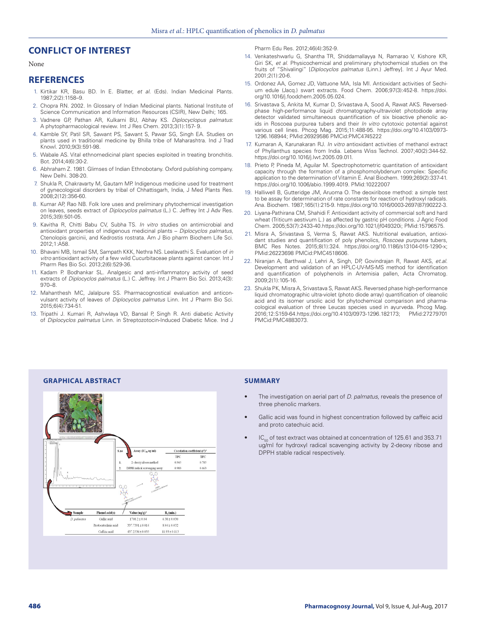# **CONFLICT OF INTEREST**

None

# **REFERENCES**

- 1. Kirtikar KR, Basu BD. In E. Blatter, *et al*. (Eds). Indian Medicinal Plants. 1987;2(2):1158–9.
- 2. Chopra RN. 2002. In Glossary of Indian Medicinal plants. National Institute of Science Communication and Information Resources (CSIR), New Delhi; 165.
- 3. Vadnere GP, Pathan AR, Kulkarni BU, Abhay KS. *Diplocyclopus palmatus*: A phytopharmacological review. Int J Res Chem. 2013;3(1):157- 9.
- 4. Kamble SY, Patil SR, Sawant PS, Sawant S, Pawar SG, Singh EA. Studies on plants used in traditional medicine by Bhilla tribe of Maharashtra. Ind J Trad Knowl. 2010;9(3):591-98.
- 5. Wabale AS. Vital ethnomedicinal plant species exploited in treating bronchitis. Bot. 2014;4(6):30-2.
- 6. Abhraham Z. 1981. Glimses of Indian Ethnobotany. Oxford publishing company. New Delhi. 308-20.
- 7. Shukla R, Chakravarty M, Gautam MP. Indigenous medicine used for treatment of gynecological disorders by tribal of Chhattisgarh, India, J Med Plants Res. 2008;2(12):356-60.
- 8. Kumar AP, Rao NB. Folk lore uses and preliminary phytochemical investigation on leaves, seeds extract of *Diplocyclos palmatus* (L.) C. Jeffrey Int J Adv Res. 2015;3(9):501-05.
- 9. Kavitha R, Chitti Babu CV, Subha TS. *In vitro* studies on antimicrobial and antioxidant properties of indigenous medicinal plants – *Diplocyclos palmatus*, Ctenolopis garcinii, and Kedrostis rostrata. Am J Bio pharm Biochem Life Sci. 2012;1:A58.
- 10. Bhavani MB, Ismail SM, Sampath KKK, Nethra NS. Leelavathi S. Evaluation of *in vitro* antioxidant activity of a few wild Cucurbitaceae plants against cancer. Int J Pharm Res Bio Sci. 2013;2(6):529-36.
- 11. Kadam P. Bodhankar SL. Analgesic and anti-inflammatory activity of seed extracts of *Diplocyclos palmatus* (L.) C. Jeffrey. Int J Pharm Bio Sci. 2013;4(3): 970–8.
- 12. Mahanthesh MC, Jalalpure SS. Pharmacognostical evaluation and anticonvulsant activity of leaves of *Diplocyclos palmatus* Linn. Int J Pharm Bio Sci. 2015;6(4):734-51.
- 13. Tripathi J. Kumari R, Ashwlaya VD, Bansal P, Singh R. Anti diabetic Activity of *Diplocyclos palmatus* Linn. in Streptozotocin-Induced Diabetic Mice. Ind J

Pharm Edu Res. 2012;46(4):352-9.

- 14. Venkateshwarlu G, Shantha TR, Shiddamallayya N, Ramarao V, Kishore KR, Giri SK, *et al*. Physicochemical and preliminary phytochemical studies on the fruits of "Shivalingi" [*Diplocyclos palmatus* (Linn.) Jeffrey]. Int J Ayur Med. 2001;2(1):20-6.
- 15. Ordonez AA, Gomez JD, Vattuone MA, Isla MI. Antioxidant activities of Sechium edule (Jacq.) swart extracts. Food Chem. 2006;97(3):452-8. https://doi. org/10.1016/j.foodchem.2005.05.024.
- 16. Srivastava S, Ankita M, Kumar D, Srivastava A, Sood A, Rawat AKS. Reversedphase high-performance liquid chromatography-ultraviolet photodiode array detector validated simultaneous quantification of six bioactive phenolic acids in Roscoea purpurea tubers and their *In vitro* cytotoxic potential against various cell lines. Phcog Mag. 2015;11:488-95. https://doi.org/10.4103/0973- 1296.168944; PMid:26929586 PMCid:PMC4745222
- 17. Kumaran A, Karunakaran RJ. *In vitro* antioxidant activities of methanol extract of Phyllanthus species from India. Lebens Wiss Technol. 2007;40(2):344-52. https://doi.org/10.1016/j.lwt.2005.09.011.
- 18. Prieto P, Pineda M, Aguilar M. Spectrophotometric quantitation of antioxidant capacity through the formation of a phosphomolybdenum complex: Specific application to the determination of Vitamin E. Anal Biochem. 1999;269(2):337-41. https://doi.org/10.1006/abio.1999.4019. PMid:10222007
- 19. Halliwell B, Gutteridge JM, Aruoma O. The deoxiribose method: a simple test to be assay for determination of rate constants for reaction of hydroxyl radicals. Ana. Biochem. 1987;165(1):215-9. https://doi.org/10.1016/0003-2697(87)90222-3.
- 20. Liyana-Pathirana CM, Shahidi F. Antioxidant activity of commercial soft and hard wheat (Triticum aestivum L.) as affected by gastric pH conditions. J Agric Food Chem. 2005;53(7):2433-40.https://doi.org/10.1021/jf049320i; PMid:15796575.
- 21. Misra A, Srivastava S, Verma S, Rawat AKS. Nutritional evaluation, antioxidant studies and quantification of poly phenolics, *Roscoea purpurea* tubers, BMC Res Notes. 2015;8(1):324. https://doi.org/10.1186/s13104-015-1290-x; PMid:26223698 PMCid:PMC4518606.
- 22. Niranjan A, Barthwal J, Lehri A, Singh, DP, Govindrajan R, Rawat AKS, *et.al.* Development and validation of an HPLC-UV-MS-MS method for identification and quantification of polyphenols in Artemisia pallen, Acta Chromatog. 2009;2(1):105-16.
- 23. Shukla PK, Misra A, Srivastava S, Rawat AKS. Reversed phase high-performance liquid chromatographic ultra-violet (photo diode array) quantification of oleanolic acid and its isomer ursolic acid for phytochemical comparison and pharmacological evaluation of three Leucas species used in ayurveda. Phcog Mag. 2016;12:S159-64.https://doi.org/10.4103/0973-1296.182173; PMid:27279701 PMCid:PMC4883073.



- The investigation on aerial part of *D. palmatus*, reveals the presence of three phenolic markers.
- Gallic acid was found in highest concentration followed by caffeic acid and proto catechuic acid.
- $IC_{\text{eq}}$  of test extract was obtained at concentration of 125.61 and 353.71 ug/ml for hydroxyl radical scavenging activity by 2-deoxy ribose and DPPH stable radical respectively.